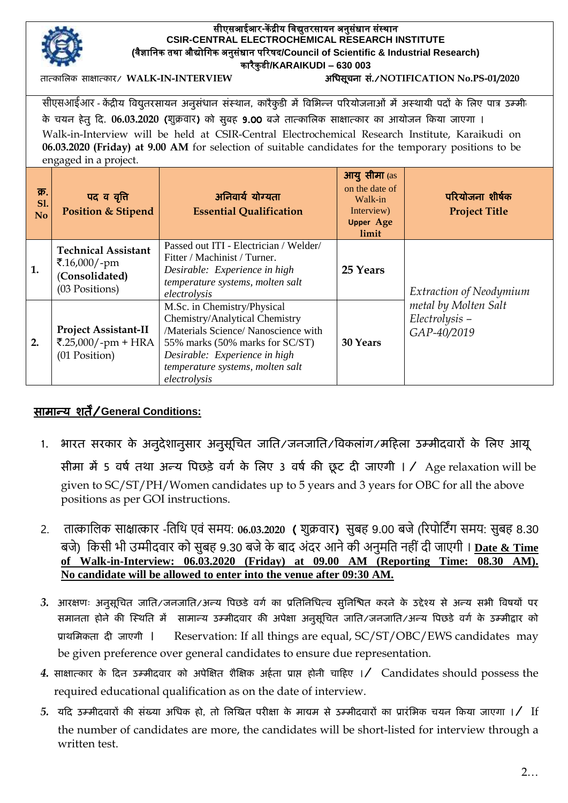

## सीएसआईआर**-**कें द्रीय विद्युतरसायन अनुसंधान संस्थान **CSIR-CENTRAL ELECTROCHEMICAL RESEARCH INSTITUTE (**िैज्ञावनक तथा औद्योविक अनुसंधान पररषद**/Council of Scientific & Industrial Research)** कारैकु डी**/KARAIKUDI – 630 003**

र्तात्काचलक साक्षात्कार/ **WALK-IN-INTERVIEW** अचिसूिना सां./**NOTIFICATION No.PS-01/2020**

सीएसआईआर - केंद्रीय विद्युतरसायन अनुसंधान संस्थान, कारैकुडी में विभिन्न परियोजनाओं में अस्थायी पदों के लिए पात्र उम्मी के ियन िेर्तु हद. **06.03.2020** (शुक्रवार) को सुबि 9.00 बजे र्तात्काचलक साक्षात्कार का आयोजन हकया जाएगा । Walk-in-Interview will be held at CSIR-Central Electrochemical Research Institute, Karaikudi on **06.03.2020 (Friday) at 9.00 AM** for selection of suitable candidates for the temporary positions to be engaged in a project.

| क्र.<br><b>Sl.</b><br>N <sub>o</sub> | पद व वृत्ति<br><b>Position &amp; Stipend</b>                                   | अनिवार्य योग्यता<br><b>Essential Qualification</b>                                                                                                                                                                            | <b>आयु सीमा</b> (as<br>on the date of<br>Walk-in<br>Interview)<br><b>Upper Age</b><br>limit | परियोजना शीर्षक<br><b>Project Title</b>                                          |
|--------------------------------------|--------------------------------------------------------------------------------|-------------------------------------------------------------------------------------------------------------------------------------------------------------------------------------------------------------------------------|---------------------------------------------------------------------------------------------|----------------------------------------------------------------------------------|
| 1.                                   | <b>Technical Assistant</b><br>₹.16,000/-pm<br>(Consolidated)<br>(03 Positions) | Passed out ITI - Electrician / Welder/<br>Fitter / Machinist / Turner.<br>Desirable: Experience in high<br>temperature systems, molten salt<br>electrolysis                                                                   | 25 Years                                                                                    | Extraction of Neodymium<br>metal by Molten Salt<br>Electrolysis -<br>GAP-40/2019 |
| 2.                                   | <b>Project Assistant-II</b><br>₹.25,000/-pm + HRA<br>(01 Position)             | M.Sc. in Chemistry/Physical<br>Chemistry/Analytical Chemistry<br>/Materials Science/ Nanoscience with<br>55% marks (50% marks for SC/ST)<br>Desirable: Experience in high<br>temperature systems, molten salt<br>electrolysis | 30 Years                                                                                    |                                                                                  |

## सामान्य शर्तें/**General Conditions:**

- 1. भारत सरकार के अनुदेशानुसार अनुसूचित जाति/जनजाति/विकलांग/महिला उम्मीदवारों के लिए आयू सीमा में 5 वर्ष तथा अन्य पिछड़े वर्ग के लिए 3 वर्ष की छूट दी जाएगी । / Age relaxation will be given to SC/ST/PH/Women candidates up to 5 years and 3 years for OBC for all the above positions as per GOI instructions.
- 2. तात्कालिक साक्षात्कार -लतलि एवं समय: **06.03.2020** ( शुक्रवार) सुबह 9.00 बजे(ररपोलटिंग समय: सुबह 8.30 बजे) लकसी भी उम्मीदवार को सुबह 9.30 बजेके बाद अंदर आनेकी अनुमलत नही ंदी जाएगी । **Date & Time of Walk-in-Interview: 06.03.2020 (Friday) at 09.00 AM (Reporting Time: 08.30 AM). No candidate will be allowed to enter into the venue after 09:30 AM.**
- 3. आरक्षणः अनुसूचित जाति/जनजाति/अन्य पिछडे वर्ग का प्रतिनिधित्व सुनिश्चित करने के उद्देश्य से अन्य सभी विषयों पर समानता होने की स्थिति में सामान्य उम्मीदवार की अपेक्षा अनुसूचित जाति/जनजाति/अन्य पिछडे वर्ग के उम्मीद्वार को प्राथचमकर्ता दी जाएगी । Reservation: If all things are equal, SC/ST/OBC/EWS candidates may be given preference over general candidates to ensure due representation.
- 4. साक्षात्कार के दिन उम्मीदवार को अपेक्षित शैक्षिक अ<del>र्</del>हता प्राप्त होनी चाहिए ।/ Candidates should possess the required educational qualification as on the date of interview.
- 5. यदि उम्मीदवारों की संख्या अधिक हो, तो लिखित परीक्षा के माद्यम से उम्मीदवारों का प्रारंभिक चयन किया जाएगा ।/ If the number of candidates are more, the candidates will be short-listed for interview through a written test.